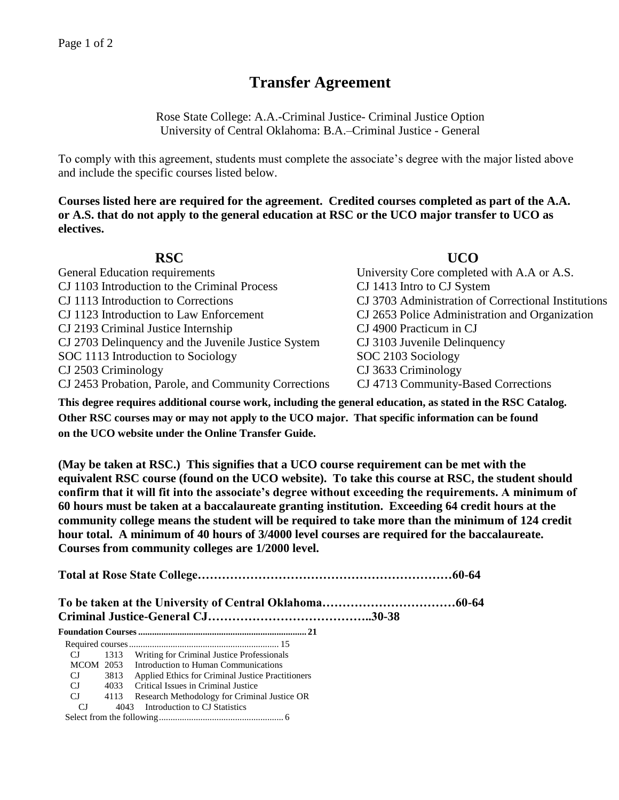# **Transfer Agreement**

Rose State College: A.A.-Criminal Justice- Criminal Justice Option University of Central Oklahoma: B.A.–Criminal Justice - General

To comply with this agreement, students must complete the associate's degree with the major listed above and include the specific courses listed below.

**Courses listed here are required for the agreement. Credited courses completed as part of the A.A. or A.S. that do not apply to the general education at RSC or the UCO major transfer to UCO as electives.**

| <b>RSC</b>                                           | UCO                                                 |
|------------------------------------------------------|-----------------------------------------------------|
| General Education requirements                       | University Core completed with A.A or A.S.          |
| CJ 1103 Introduction to the Criminal Process         | CJ 1413 Intro to CJ System                          |
| CJ 1113 Introduction to Corrections                  | CJ 3703 Administration of Correctional Institutions |
| CJ 1123 Introduction to Law Enforcement              | CJ 2653 Police Administration and Organization      |
| CJ 2193 Criminal Justice Internship                  | CJ 4900 Practicum in CJ                             |
| CJ 2703 Delinquency and the Juvenile Justice System  | CJ 3103 Juvenile Delinquency                        |
| SOC 1113 Introduction to Sociology                   | SOC 2103 Sociology                                  |
| CJ 2503 Criminology                                  | CJ 3633 Criminology                                 |
| CJ 2453 Probation, Parole, and Community Corrections | CJ 4713 Community-Based Corrections                 |

**This degree requires additional course work, including the general education, as stated in the RSC Catalog. Other RSC courses may or may not apply to the UCO major. That specific information can be found on the UCO website under the Online Transfer Guide.**

**(May be taken at RSC.) This signifies that a UCO course requirement can be met with the equivalent RSC course (found on the UCO website). To take this course at RSC, the student should confirm that it will fit into the associate's degree without exceeding the requirements. A minimum of 60 hours must be taken at a baccalaureate granting institution. Exceeding 64 credit hours at the community college means the student will be required to take more than the minimum of 124 credit hour total. A minimum of 40 hours of 3/4000 level courses are required for the baccalaureate. Courses from community colleges are 1/2000 level.**

**Total at Rose State College………………………………………………………60-64 To be taken at the University of Central Oklahoma……………………………60-64 Criminal Justice-General CJ…………………………………..30-38 Foundation Courses......................................................................... 21** Required courses................................................................. 15 CJ 1313 Writing for Criminal Justice Professionals MCOM 2053 Introduction to Human Communications CJ 3813 Applied Ethics for Criminal Justice Practitioners CJ 4033 Critical Issues in Criminal Justice CJ 4113 Research Methodology for Criminal Justice OR CJ 4043 Introduction to CJ Statistics Select from the following...................................................... 6